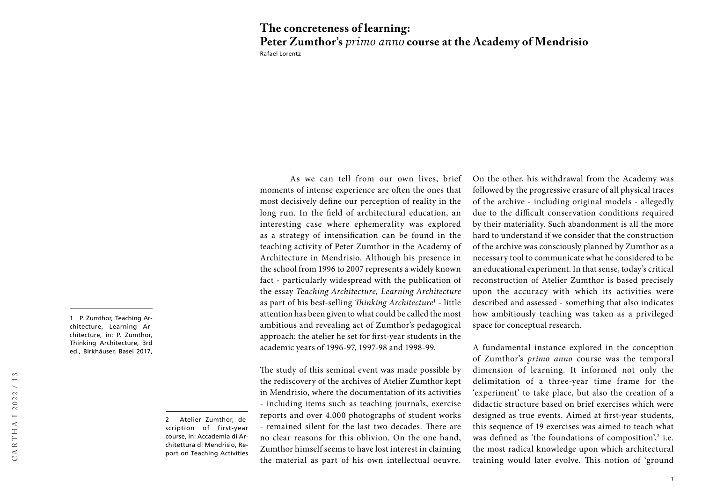## Rafael Lorentz **The concreteness of learning: Peter Zumthor's** *primo anno* **course at the Academy of Mendrisio**

1 P. Zumthor, Teaching Architecture, Learning Architecture, in: P. Zumthor, Thinking Architecture, 3rd ed., Birkhäuser, Basel 2017,

> 2 Atelier Zumthor, description of first-year course, in: Accademia di Architettura di Mendrisio, Report on Teaching Activities

As we can tell from our own lives, brief moments of intense experience are often the ones that most decisively define our perception of reality in the long run. In the field of architectural education, an interesting case where ephemerality was explored as a strategy of intensification can be found in the teaching activity of Peter Zumthor in the Academy of Architecture in Mendrisio. Although his presence in the school from 1996 to 2007 represents a widely known fact - particularly widespread with the publication of the essay *Teaching Architecture, Learning Architecture* as part of his best-selling *Thinking Architecture*<sup>1</sup> - little attention has been given to what could be called the most ambitious and revealing act of Zumthor's pedagogical approach: the atelier he set for first-year students in the academic years of 1996-97, 1997-98 and 1998-99.

The study of this seminal event was made possible by the rediscovery of the archives of Atelier Zumthor kept in Mendrisio, where the documentation of its activities - including items such as teaching journals, exercise reports and over 4.000 photographs of student works - remained silent for the last two decades. There are no clear reasons for this oblivion. On the one hand, Zumthor himself seems to have lost interest in claiming the material as part of his own intellectual oeuvre.

On the other, his withdrawal from the Academy was followed by the progressive erasure of all physical traces of the archive - including original models - allegedly due to the difficult conservation conditions required by their materiality. Such abandonment is all the more hard to understand if we consider that the construction of the archive was consciously planned by Zumthor as a necessary tool to communicate what he considered to be an educational experiment. In that sense, today's critical reconstruction of Atelier Zumthor is based precisely upon the accuracy with which its activities were described and assessed - something that also indicates how ambitiously teaching was taken as a privileged space for conceptual research.

A fundamental instance explored in the conception of Zumthor's *primo anno* course was the temporal dimension of learning. It informed not only the delimitation of a three-year time frame for the 'experiment' to take place, but also the creation of a didactic structure based on brief exercises which were designed as true events. Aimed at first-year students, this sequence of 19 exercises was aimed to teach what was defined as 'the foundations of composition',<sup>2</sup> i.e. the most radical knowledge upon which architectural training would later evolve. This notion of 'ground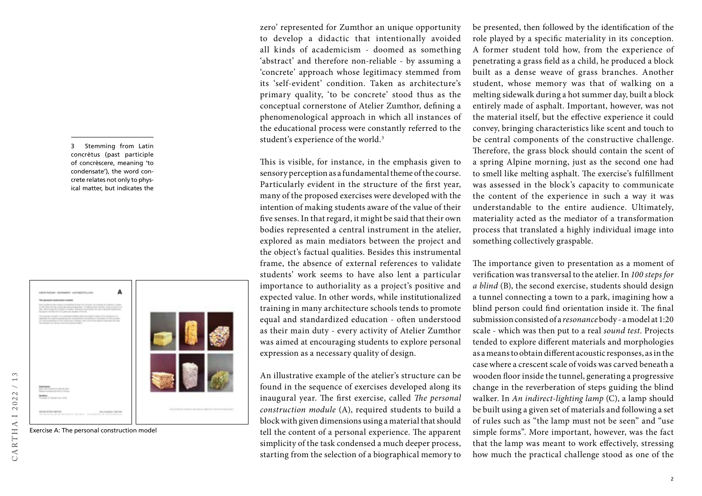3 Stemming from Latin concrètus (past participle of concrèscere, meaning 'to condensate'), the word concrete relates not only to physical matter, but indicates the



zero' represented for Zumthor an unique opportunity to develop a didactic that intentionally avoided all kinds of academicism - doomed as something 'abstract' and therefore non-reliable - by assuming a 'concrete' approach whose legitimacy stemmed from its 'self-evident' condition. Taken as architecture's primary quality, 'to be concrete' stood thus as the conceptual cornerstone of Atelier Zumthor, defining a phenomenological approach in which all instances of the educational process were constantly referred to the student's experience of the world.<sup>3</sup>

This is visible, for instance, in the emphasis given to sensory perception as a fundamental theme of the course. Particularly evident in the structure of the first year, many of the proposed exercises were developed with the intention of making students aware of the value of their five senses. In that regard, it might be said that their own bodies represented a central instrument in the atelier, explored as main mediators between the project and the object's factual qualities. Besides this instrumental frame, the absence of external references to validate students' work seems to have also lent a particular importance to authoriality as a project's positive and expected value. In other words, while institutionalized training in many architecture schools tends to promote equal and standardized education - often understood as their main duty - every activity of Atelier Zumthor was aimed at encouraging students to explore personal expression as a necessary quality of design.

An illustrative example of the atelier's structure can be found in the sequence of exercises developed along its inaugural year. The first exercise, called *The personal construction module* (A), required students to build a block with given dimensions using a material that should tell the content of a personal experience. The apparent simplicity of the task condensed a much deeper process, starting from the selection of a biographical memory to

be presented, then followed by the identification of the role played by a specific materiality in its conception. A former student told how, from the experience of penetrating a grass field as a child, he produced a block built as a dense weave of grass branches. Another student, whose memory was that of walking on a melting sidewalk during a hot summer day, built a block entirely made of asphalt. Important, however, was not the material itself, but the effective experience it could convey, bringing characteristics like scent and touch to be central components of the constructive challenge. Therefore, the grass block should contain the scent of a spring Alpine morning, just as the second one had to smell like melting asphalt. The exercise's fulfillment was assessed in the block's capacity to communicate the content of the experience in such a way it was understandable to the entire audience. Ultimately, materiality acted as the mediator of a transformation process that translated a highly individual image into something collectively graspable.

The importance given to presentation as a moment of verification was transversal to the atelier. In *100 steps for a blind* (B), the second exercise, students should design a tunnel connecting a town to a park, imagining how a blind person could find orientation inside it. The final submission consisted of a *resonance* body - a model at 1:20 scale - which was then put to a real *sound test*. Projects tended to explore different materials and morphologies as a means to obtain different acoustic responses, as in the case where a crescent scale of voids was carved beneath a wooden floor inside the tunnel, generating a progressive change in the reverberation of steps guiding the blind walker. In *An indirect-lighting lamp* (C), a lamp should be built using a given set of materials and following a set of rules such as "the lamp must not be seen" and "use simple forms". More important, however, was the fact that the lamp was meant to work effectively, stressing how much the practical challenge stood as one of the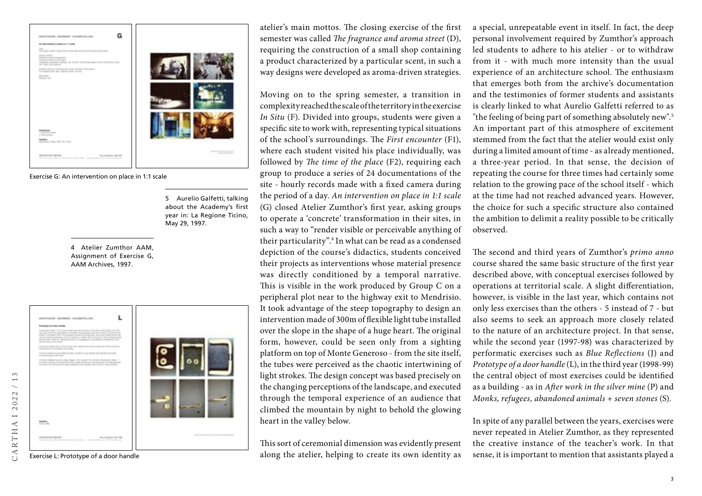

Exercise G: An intervention on place in 1:1 scale

5 Aurelio Galfetti, talking about the Academy's first year in: La Regione Ticino, May 29, 1997.

4 Atelier Zumthor AAM, Assignment of Exercise G, AAM Archives, 1997.



Exercise L: Prototype of a door handle

CARTHA I 2022 / 13

ARTHAI2022

 $13$  $\overline{\phantom{0}}$  atelier's main mottos. The closing exercise of the first semester was called *The fragrance and aroma street* (D), requiring the construction of a small shop containing a product characterized by a particular scent, in such a way designs were developed as aroma-driven strategies.

Moving on to the spring semester, a transition in complexity reached the scale of the territory in the exercise *In Situ* (F). Divided into groups, students were given a specific site to work with, representing typical situations of the school's surroundings. The *First encounter* (F1), where each student visited his place individually, was followed by *The time of the place* (F2), requiring each group to produce a series of 24 documentations of the site - hourly records made with a fixed camera during the period of a day. *An intervention on place in 1:1 scale* (G) closed Atelier Zumthor's first year, asking groups to operate a 'concrete' transformation in their sites, in such a way to "render visible or perceivable anything of their particularity".4 In what can be read as a condensed depiction of the course's didactics, students conceived their projects as interventions whose material presence was directly conditioned by a temporal narrative. This is visible in the work produced by Group C on a peripheral plot near to the highway exit to Mendrisio. It took advantage of the steep topography to design an intervention made of 300m of flexible light tube installed over the slope in the shape of a huge heart. The original form, however, could be seen only from a sighting platform on top of Monte Generoso - from the site itself, the tubes were perceived as the chaotic intertwining of light strokes. The design concept was based precisely on the changing perceptions of the landscape, and executed through the temporal experience of an audience that climbed the mountain by night to behold the glowing heart in the valley below.

This sort of ceremonial dimension was evidently present along the atelier, helping to create its own identity as

a special, unrepeatable event in itself. In fact, the deep personal involvement required by Zumthor's approach led students to adhere to his atelier - or to withdraw from it - with much more intensity than the usual experience of an architecture school. The enthusiasm that emerges both from the archive's documentation and the testimonies of former students and assistants is clearly linked to what Aurelio Galfetti referred to as "the feeling of being part of something absolutely new".5 An important part of this atmosphere of excitement stemmed from the fact that the atelier would exist only during a limited amount of time - as already mentioned, a three-year period. In that sense, the decision of repeating the course for three times had certainly some relation to the growing pace of the school itself - which at the time had not reached advanced years. However, the choice for such a specific structure also contained the ambition to delimit a reality possible to be critically observed.

The second and third years of Zumthor's *primo anno*  course shared the same basic structure of the first year described above, with conceptual exercises followed by operations at territorial scale. A slight differentiation, however, is visible in the last year, which contains not only less exercises than the others - 5 instead of 7 - but also seems to seek an approach more closely related to the nature of an architecture project. In that sense, while the second year (1997-98) was characterized by performatic exercises such as *Blue Reflections* (J) and *Prototype of a door handle* (L), in the third year (1998-99) the central object of most exercises could be identified as a building - as in *After work in the silver mine* (P) and *Monks, refugees, abandoned animals + seven stones* (S).

In spite of any parallel between the years, exercises were never repeated in Atelier Zumthor, as they represented the creative instance of the teacher's work. In that sense, it is important to mention that assistants played a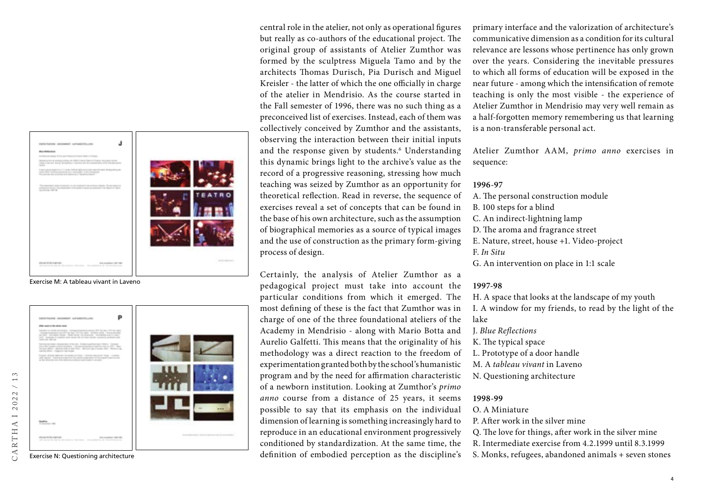

Exercise M: A tableau vivant in Laveno



central role in the atelier, not only as operational figures but really as co-authors of the educational project. The original group of assistants of Atelier Zumthor was formed by the sculptress Miguela Tamo and by the architects Thomas Durisch, Pia Durisch and Miguel Kreisler - the latter of which the one officially in charge of the atelier in Mendrisio. As the course started in the Fall semester of 1996, there was no such thing as a preconceived list of exercises. Instead, each of them was collectively conceived by Zumthor and the assistants, observing the interaction between their initial inputs and the response given by students. 6 Understanding this dynamic brings light to the archive's value as the record of a progressive reasoning, stressing how much teaching was seized by Zumthor as an opportunity for theoretical reflection. Read in reverse, the sequence of exercises reveal a set of concepts that can be found in the base of his own architecture, such as the assumption of biographical memories as a source of typical images and the use of construction as the primary form-giving process of design.

Certainly, the analysis of Atelier Zumthor as a pedagogical project must take into account the particular conditions from which it emerged. The most defining of these is the fact that Zumthor was in charge of one of the three foundational ateliers of the Academy in Mendrisio - along with Mario Botta and Aurelio Galfetti. This means that the originality of his methodology was a direct reaction to the freedom of experimentation granted both by the school's humanistic program and by the need for affirmation characteristic of a newborn institution. Looking at Zumthor's *primo anno* course from a distance of 25 years, it seems possible to say that its emphasis on the individual dimension of learning is something increasingly hard to reproduce in an educational environment progressively conditioned by standardization. At the same time, the definition of embodied perception as the discipline's

primary interface and the valorization of architecture's communicative dimension as a condition for its cultural relevance are lessons whose pertinence has only grown over the years. Considering the inevitable pressures to which all forms of education will be exposed in the near future - among which the intensification of remote teaching is only the most visible - the experience of Atelier Zumthor in Mendrisio may very well remain as a half-forgotten memory remembering us that learning is a non-transferable personal act.

Atelier Zumthor AAM, *primo anno* exercises in sequence:

## **1996-97**

A. The personal construction module B. 100 steps for a blind C. An indirect-lightning lamp D. The aroma and fragrance street E. Nature, street, house +1. Video-project F. *In Situ* G. An intervention on place in 1:1 scale

## **1997-98**

H. A space that looks at the landscape of my youth I. A window for my friends, to read by the light of the lake

J. *Blue Reflections*

- K. The typical space
- L. Prototype of a door handle
- M. A *tableau vivant* in Laveno
- N. Questioning architecture

## **1998-99**

- O. A Miniature
- P. After work in the silver mine
- Q. The love for things, after work in the silver mine
- R. Intermediate exercise from 4.2.1999 until 8.3.1999
- S. Monks, refugees, abandoned animals + seven stones

 $\overline{A}$